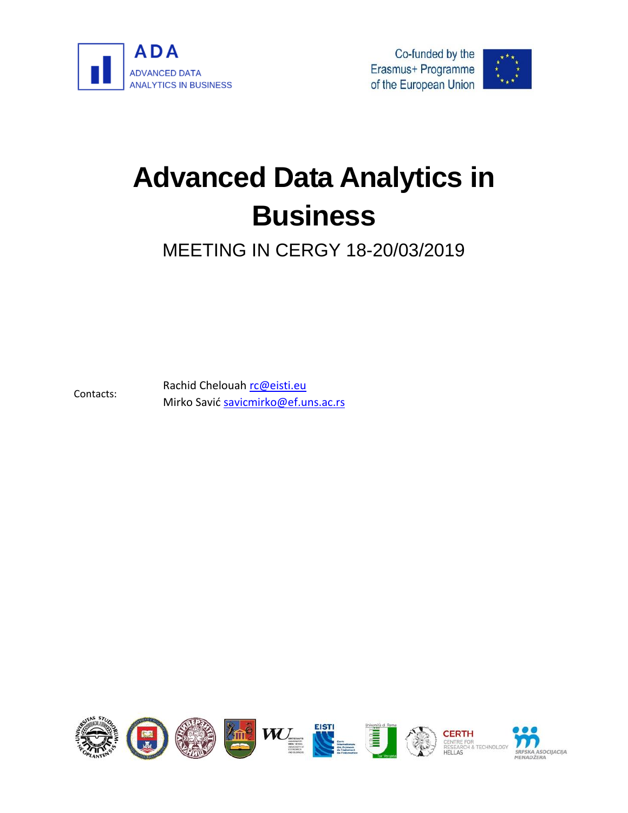





# **Advanced Data Analytics in Business**

MEETING IN CERGY 18-20/03/2019

Contacts: Rachid Chelouah [rc@eisti.eu](mailto:rc@eisti.eu) Mirko Savić [savicmirko@ef.uns.ac.rs](mailto:savicmirko@ef.uns.ac.rs)

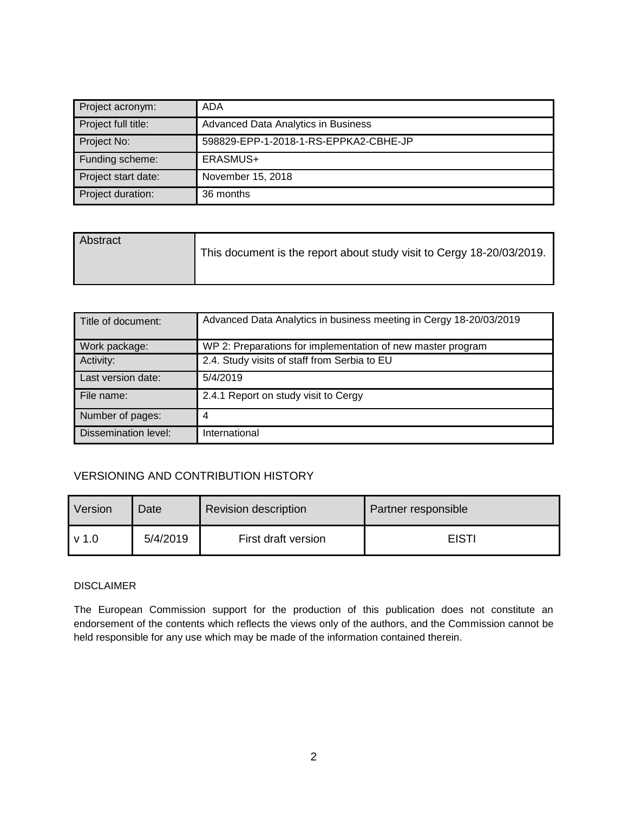| Project acronym:    | ADA                                   |  |
|---------------------|---------------------------------------|--|
| Project full title: | Advanced Data Analytics in Business   |  |
| Project No:         | 598829-EPP-1-2018-1-RS-EPPKA2-CBHE-JP |  |
| Funding scheme:     | ERASMUS+                              |  |
| Project start date: | November 15, 2018                     |  |
| Project duration:   | 36 months                             |  |

| Abstract | This document is the report about study visit to Cergy 18-20/03/2019. |
|----------|-----------------------------------------------------------------------|
|          |                                                                       |

| Title of document:   | Advanced Data Analytics in business meeting in Cergy 18-20/03/2019 |
|----------------------|--------------------------------------------------------------------|
| Work package:        | WP 2: Preparations for implementation of new master program        |
| Activity:            | 2.4. Study visits of staff from Serbia to EU                       |
| Last version date:   | 5/4/2019                                                           |
| File name:           | 2.4.1 Report on study visit to Cergy                               |
| Number of pages:     | 4                                                                  |
| Dissemination level: | International                                                      |

#### VERSIONING AND CONTRIBUTION HISTORY

| Version | Date     | <b>Revision description</b> | Partner responsible |
|---------|----------|-----------------------------|---------------------|
| v 1.0   | 5/4/2019 | First draft version         | <b>EISTI</b>        |

#### DISCLAIMER

The European Commission support for the production of this publication does not constitute an endorsement of the contents which reflects the views only of the authors, and the Commission cannot be held responsible for any use which may be made of the information contained therein.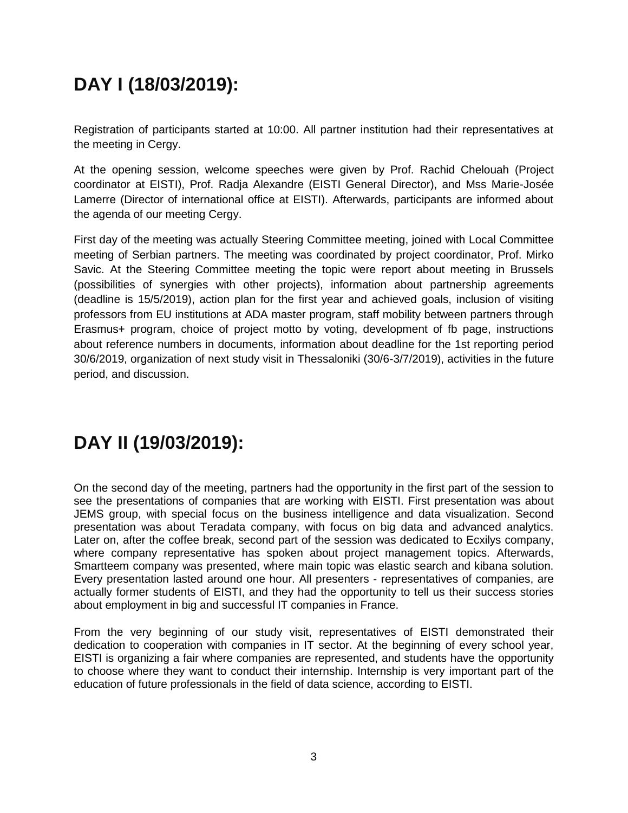## **DAY I (18/03/2019):**

Registration of participants started at 10:00. All partner institution had their representatives at the meeting in Cergy.

At the opening session, welcome speeches were given by Prof. Rachid Chelouah (Project coordinator at EISTI), Prof. Radja Alexandre (EISTI General Director), and Mss Marie-Josée Lamerre (Director of international office at EISTI). Afterwards, participants are informed about the agenda of our meeting Cergy.

First day of the meeting was actually Steering Committee meeting, joined with Local Committee meeting of Serbian partners. The meeting was coordinated by project coordinator, Prof. Mirko Savic. At the Steering Committee meeting the topic were report about meeting in Brussels (possibilities of synergies with other projects), information about partnership agreements (deadline is 15/5/2019), action plan for the first year and achieved goals, inclusion of visiting professors from EU institutions at ADA master program, staff mobility between partners through Erasmus+ program, choice of project motto by voting, development of fb page, instructions about reference numbers in documents, information about deadline for the 1st reporting period 30/6/2019, organization of next study visit in Thessaloniki (30/6-3/7/2019), activities in the future period, and discussion.

### **DAY II (19/03/2019):**

On the second day of the meeting, partners had the opportunity in the first part of the session to see the presentations of companies that are working with EISTI. First presentation was about JEMS group, with special focus on the business intelligence and data visualization. Second presentation was about Teradata company, with focus on big data and advanced analytics. Later on, after the coffee break, second part of the session was dedicated to Ecxilys company, where company representative has spoken about project management topics. Afterwards, Smartteem company was presented, where main topic was elastic search and kibana solution. Every presentation lasted around one hour. All presenters - representatives of companies, are actually former students of EISTI, and they had the opportunity to tell us their success stories about employment in big and successful IT companies in France.

From the very beginning of our study visit, representatives of EISTI demonstrated their dedication to cooperation with companies in IT sector. At the beginning of every school year, EISTI is organizing a fair where companies are represented, and students have the opportunity to choose where they want to conduct their internship. Internship is very important part of the education of future professionals in the field of data science, according to EISTI.